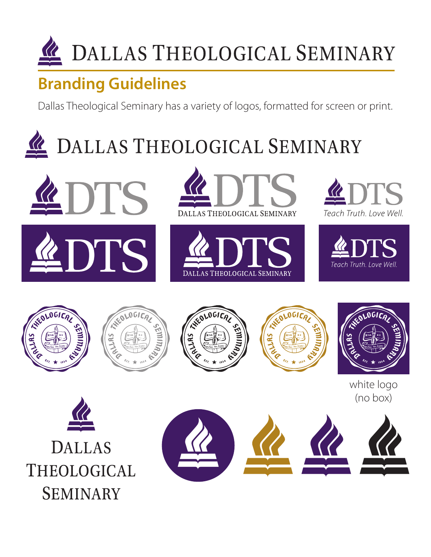

### **Branding Guidelines**

Dallas Theological Seminary has a variety of logos, formatted for screen or print.

# DALLAS THEOLOGICAL SEMINARY





















white logo (no box)